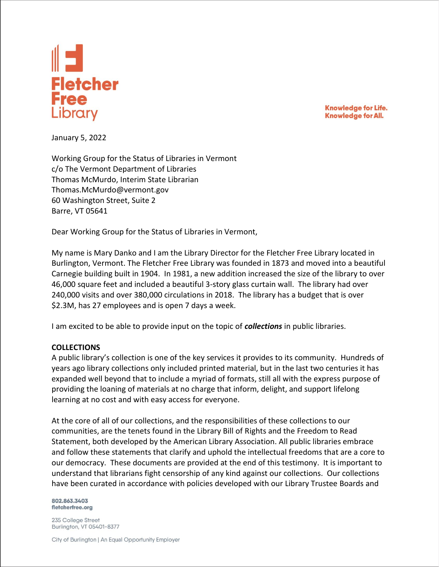

January 5, 2022

Working Group for the Status of Libraries in Vermont c/o The Vermont Department of Libraries Thomas McMurdo, Interim State Librarian Thomas.McMurdo@vermont.gov 60 Washington Street, Suite 2 Barre, VT 05641

Dear Working Group for the Status of Libraries in Vermont,

My name is Mary Danko and I am the Library Director for the Fletcher Free Library located in Burlington, Vermont. The Fletcher Free Library was founded in 1873 and moved into a beautiful Carnegie building built in 1904. In 1981, a new addition increased the size of the library to over 46,000 square feet and included a beautiful 3-story glass curtain wall. The library had over 240,000 visits and over 380,000 circulations in 2018. The library has a budget that is over \$2.3M, has 27 employees and is open 7 days a week.

I am excited to be able to provide input on the topic of *collections* in public libraries.

#### **COLLECTIONS**

A public library's collection is one of the key services it provides to its community. Hundreds of years ago library collections only included printed material, but in the last two centuries it has expanded well beyond that to include a myriad of formats, still all with the express purpose of providing the loaning of materials at no charge that inform, delight, and support lifelong learning at no cost and with easy access for everyone.

At the core of all of our collections, and the responsibilities of these collections to our communities, are the tenets found in the Library Bill of Rights and the Freedom to Read Statement, both developed by the American Library Association. All public libraries embrace and follow these statements that clarify and uphold the intellectual freedoms that are a core to our democracy. These documents are provided at the end of this testimony. It is important to understand that librarians fight censorship of any kind against our collections. Our collections have been curated in accordance with policies developed with our Library Trustee Boards and

802.863.3403 fletcherfree.org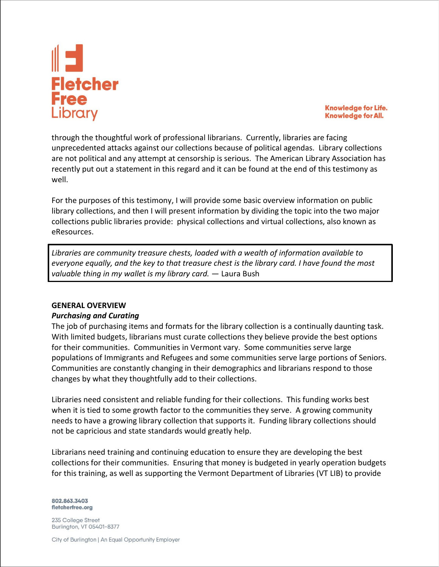

through the thoughtful work of professional librarians. Currently, libraries are facing unprecedented attacks against our collections because of political agendas. Library collections are not political and any attempt at censorship is serious. The American Library Association has recently put out a statement in this regard and it can be found at the end of this testimony as well.

For the purposes of this testimony, I will provide some basic overview information on public library collections, and then I will present information by dividing the topic into the two major collections public libraries provide: physical collections and virtual collections, also known as eResources.

*Libraries are community treasure chests, loaded with a wealth of information available to everyone equally, and the key to that treasure chest is the library card. I have found the most valuable thing in my wallet is my library card.* — [Laura Bush](https://www.azquotes.com/author/2251-Laura_Bush)

# **GENERAL OVERVIEW**

# *Purchasing and Curating*

The job of purchasing items and formats for the library collection is a continually daunting task. With limited budgets, librarians must curate collections they believe provide the best options for their communities. Communities in Vermont vary. Some communities serve large populations of Immigrants and Refugees and some communities serve large portions of Seniors. Communities are constantly changing in their demographics and librarians respond to those changes by what they thoughtfully add to their collections.

Libraries need consistent and reliable funding for their collections. This funding works best when it is tied to some growth factor to the communities they serve. A growing community needs to have a growing library collection that supports it. Funding library collections should not be capricious and state standards would greatly help.

Librarians need training and continuing education to ensure they are developing the best collections for their communities. Ensuring that money is budgeted in yearly operation budgets for this training, as well as supporting the Vermont Department of Libraries (VT LIB) to provide

802.863.3403 fletcherfree.org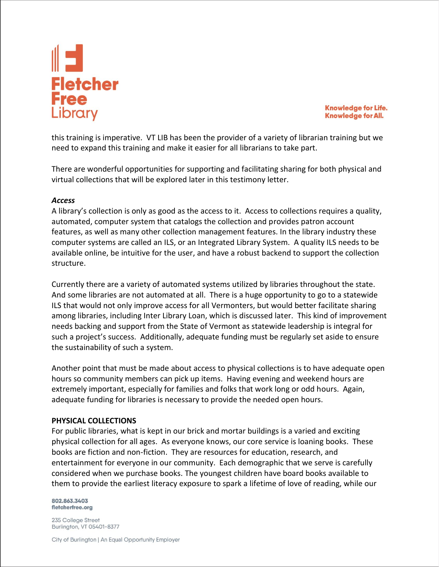

this training is imperative. VT LIB has been the provider of a variety of librarian training but we need to expand this training and make it easier for all librarians to take part.

There are wonderful opportunities for supporting and facilitating sharing for both physical and virtual collections that will be explored later in this testimony letter.

# *Access*

A library's collection is only as good as the access to it. Access to collections requires a quality, automated, computer system that catalogs the collection and provides patron account features, as well as many other collection management features. In the library industry these computer systems are called an ILS, or an Integrated Library System. A quality ILS needs to be available online, be intuitive for the user, and have a robust backend to support the collection structure.

Currently there are a variety of automated systems utilized by libraries throughout the state. And some libraries are not automated at all. There is a huge opportunity to go to a statewide ILS that would not only improve access for all Vermonters, but would better facilitate sharing among libraries, including Inter Library Loan, which is discussed later. This kind of improvement needs backing and support from the State of Vermont as statewide leadership is integral for such a project's success. Additionally, adequate funding must be regularly set aside to ensure the sustainability of such a system.

Another point that must be made about access to physical collections is to have adequate open hours so community members can pick up items. Having evening and weekend hours are extremely important, especially for families and folks that work long or odd hours. Again, adequate funding for libraries is necessary to provide the needed open hours.

#### **PHYSICAL COLLECTIONS**

For public libraries, what is kept in our brick and mortar buildings is a varied and exciting physical collection for all ages. As everyone knows, our core service is loaning books. These books are fiction and non-fiction. They are resources for education, research, and entertainment for everyone in our community. Each demographic that we serve is carefully considered when we purchase books. The youngest children have board books available to them to provide the earliest literacy exposure to spark a lifetime of love of reading, while our

802.863.3403 fletcherfree.org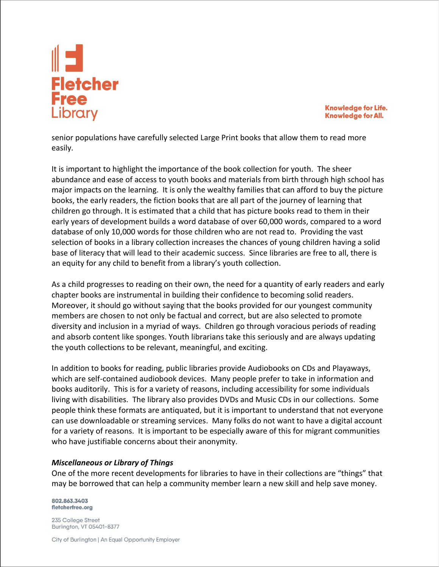

senior populations have carefully selected Large Print books that allow them to read more easily.

It is important to highlight the importance of the book collection for youth. The sheer abundance and ease of access to youth books and materials from birth through high school has major impacts on the learning. It is only the wealthy families that can afford to buy the picture books, the early readers, the fiction books that are all part of the journey of learning that children go through. It is estimated that a child that has picture books read to them in their early years of development builds a word database of over 60,000 words, compared to a word database of only 10,000 words for those children who are not read to. Providing the vast selection of books in a library collection increases the chances of young children having a solid base of literacy that will lead to their academic success. Since libraries are free to all, there is an equity for any child to benefit from a library's youth collection.

As a child progresses to reading on their own, the need for a quantity of early readers and early chapter books are instrumental in building their confidence to becoming solid readers. Moreover, it should go without saying that the books provided for our youngest community members are chosen to not only be factual and correct, but are also selected to promote diversity and inclusion in a myriad of ways. Children go through voracious periods of reading and absorb content like sponges. Youth librarians take this seriously and are always updating the youth collections to be relevant, meaningful, and exciting.

In addition to books for reading, public libraries provide Audiobooks on CDs and Playaways, which are self-contained audiobook devices. Many people prefer to take in information and books auditorily. This is for a variety of reasons, including accessibility for some individuals living with disabilities. The library also provides DVDs and Music CDs in our collections. Some people think these formats are antiquated, but it is important to understand that not everyone can use downloadable or streaming services. Many folks do not want to have a digital account for a variety of reasons. It is important to be especially aware of this for migrant communities who have justifiable concerns about their anonymity.

# *Miscellaneous or Library of Things*

One of the more recent developments for libraries to have in their collections are "things" that may be borrowed that can help a community member learn a new skill and help save money.

802.863.3403 fletcherfree.org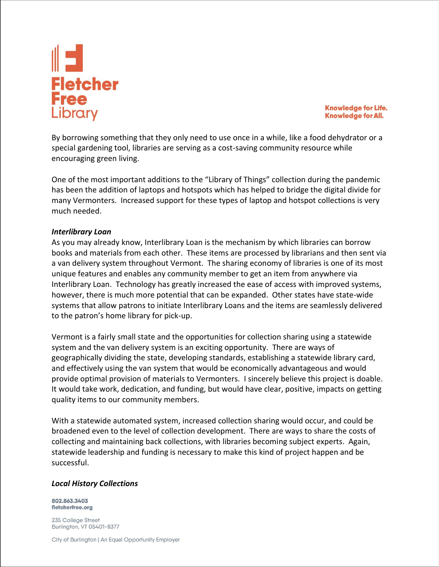

By borrowing something that they only need to use once in a while, like a food dehydrator or a special gardening tool, libraries are serving as a cost-saving community resource while encouraging green living.

One of the most important additions to the "Library of Things" collection during the pandemic has been the addition of laptops and hotspots which has helped to bridge the digital divide for many Vermonters. Increased support for these types of laptop and hotspot collections is very much needed.

### *Interlibrary Loan*

As you may already know, Interlibrary Loan is the mechanism by which libraries can borrow books and materials from each other. These items are processed by librarians and then sent via a van delivery system throughout Vermont. The sharing economy of libraries is one of its most unique features and enables any community member to get an item from anywhere via Interlibrary Loan. Technology has greatly increased the ease of access with improved systems, however, there is much more potential that can be expanded. Other states have state-wide systems that allow patrons to initiate Interlibrary Loans and the items are seamlessly delivered to the patron's home library for pick-up.

Vermont is a fairly small state and the opportunities for collection sharing using a statewide system and the van delivery system is an exciting opportunity. There are ways of geographically dividing the state, developing standards, establishing a statewide library card, and effectively using the van system that would be economically advantageous and would provide optimal provision of materials to Vermonters. I sincerely believe this project is doable. It would take work, dedication, and funding, but would have clear, positive, impacts on getting quality items to our community members.

With a statewide automated system, increased collection sharing would occur, and could be broadened even to the level of collection development. There are ways to share the costs of collecting and maintaining back collections, with libraries becoming subject experts. Again, statewide leadership and funding is necessary to make this kind of project happen and be successful.

#### *Local History Collections*

802.863.3403 fletcherfree.org

235 College Street Burlington, VT 05401-8377

City of Burlington | An Equal Opportunity Employer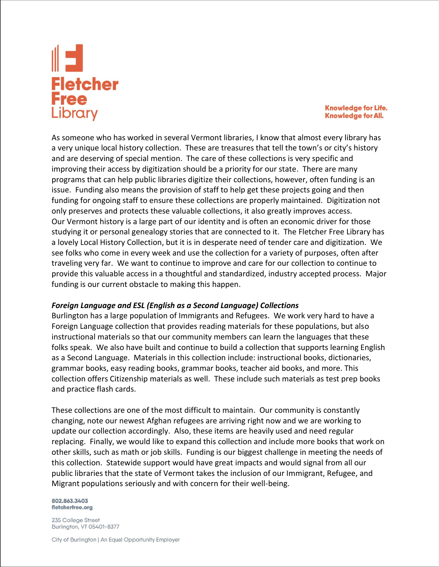

As someone who has worked in several Vermont libraries, I know that almost every library has a very unique local history collection. These are treasures that tell the town's or city's history and are deserving of special mention. The care of these collections is very specific and improving their access by digitization should be a priority for our state. There are many programs that can help public libraries digitize their collections, however, often funding is an issue. Funding also means the provision of staff to help get these projects going and then funding for ongoing staff to ensure these collections are properly maintained. Digitization not only preserves and protects these valuable collections, it also greatly improves access. Our Vermont history is a large part of our identity and is often an economic driver for those studying it or personal genealogy stories that are connected to it. The Fletcher Free Library has a lovely Local History Collection, but it is in desperate need of tender care and digitization. We see folks who come in every week and use the collection for a variety of purposes, often after traveling very far. We want to continue to improve and care for our collection to continue to provide this valuable access in a thoughtful and standardized, industry accepted process. Major funding is our current obstacle to making this happen.

# *Foreign Language and ESL (English as a Second Language) Collections*

Burlington has a large population of Immigrants and Refugees. We work very hard to have a Foreign Language collection that provides reading materials for these populations, but also instructional materials so that our community members can learn the languages that these folks speak. We also have built and continue to build a collection that supports learning English as a Second Language. Materials in this collection include: instructional books, dictionaries, grammar books, easy reading books, grammar books, teacher aid books, and more. This collection offers Citizenship materials as well. These include such materials as test prep books and practice flash cards.

These collections are one of the most difficult to maintain. Our community is constantly changing, note our newest Afghan refugees are arriving right now and we are working to update our collection accordingly. Also, these items are heavily used and need regular replacing. Finally, we would like to expand this collection and include more books that work on other skills, such as math or job skills. Funding is our biggest challenge in meeting the needs of this collection. Statewide support would have great impacts and would signal from all our public libraries that the state of Vermont takes the inclusion of our Immigrant, Refugee, and Migrant populations seriously and with concern for their well-being.

#### 802.863.3403 fletcherfree.org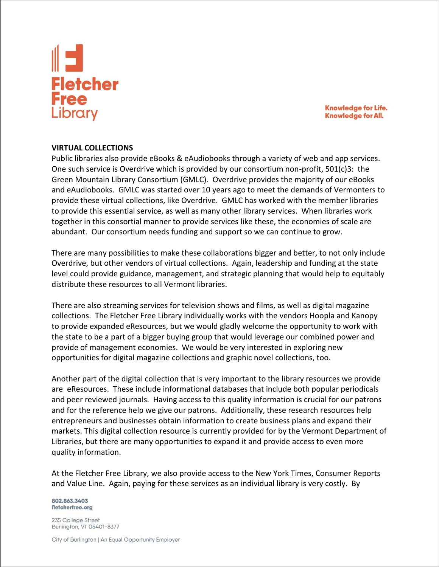

### **VIRTUAL COLLECTIONS**

Public libraries also provide eBooks & eAudiobooks through a variety of web and app services. One such service is Overdrive which is provided by our consortium non-profit, 501(c)3: the Green Mountain Library Consortium (GMLC). Overdrive provides the majority of our eBooks and eAudiobooks. GMLC was started over 10 years ago to meet the demands of Vermonters to provide these virtual collections, like Overdrive. GMLC has worked with the member libraries to provide this essential service, as well as many other library services. When libraries work together in this consortial manner to provide services like these, the economies of scale are abundant. Our consortium needs funding and support so we can continue to grow.

There are many possibilities to make these collaborations bigger and better, to not only include Overdrive, but other vendors of virtual collections. Again, leadership and funding at the state level could provide guidance, management, and strategic planning that would help to equitably distribute these resources to all Vermont libraries.

There are also streaming services for television shows and films, as well as digital magazine collections. The Fletcher Free Library individually works with the vendors Hoopla and Kanopy to provide expanded eResources, but we would gladly welcome the opportunity to work with the state to be a part of a bigger buying group that would leverage our combined power and provide of management economies. We would be very interested in exploring new opportunities for digital magazine collections and graphic novel collections, too.

Another part of the digital collection that is very important to the library resources we provide are eResources. These include informational databases that include both popular periodicals and peer reviewed journals. Having access to this quality information is crucial for our patrons and for the reference help we give our patrons. Additionally, these research resources help entrepreneurs and businesses obtain information to create business plans and expand their markets. This digital collection resource is currently provided for by the Vermont Department of Libraries, but there are many opportunities to expand it and provide access to even more quality information.

At the Fletcher Free Library, we also provide access to the New York Times, Consumer Reports and Value Line. Again, paying for these services as an individual library is very costly. By

802.863.3403 fletcherfree.org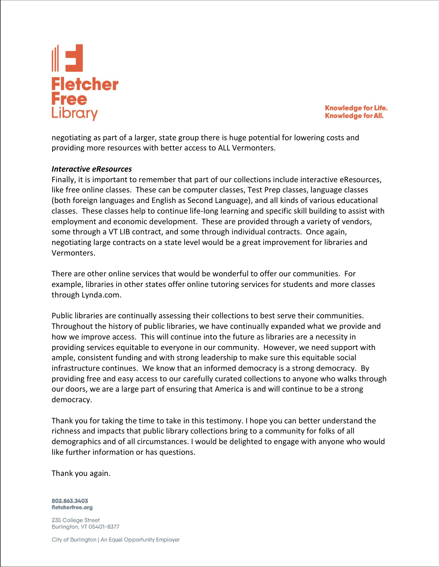

negotiating as part of a larger, state group there is huge potential for lowering costs and providing more resources with better access to ALL Vermonters.

#### *Interactive eResources*

Finally, it is important to remember that part of our collections include interactive eResources, like free online classes. These can be computer classes, Test Prep classes, language classes (both foreign languages and English as Second Language), and all kinds of various educational classes. These classes help to continue life-long learning and specific skill building to assist with employment and economic development. These are provided through a variety of vendors, some through a VT LIB contract, and some through individual contracts. Once again, negotiating large contracts on a state level would be a great improvement for libraries and Vermonters.

There are other online services that would be wonderful to offer our communities. For example, libraries in other states offer online tutoring services for students and more classes through Lynda.com.

Public libraries are continually assessing their collections to best serve their communities. Throughout the history of public libraries, we have continually expanded what we provide and how we improve access. This will continue into the future as libraries are a necessity in providing services equitable to everyone in our community. However, we need support with ample, consistent funding and with strong leadership to make sure this equitable social infrastructure continues. We know that an informed democracy is a strong democracy. By providing free and easy access to our carefully curated collections to anyone who walks through our doors, we are a large part of ensuring that America is and will continue to be a strong democracy.

Thank you for taking the time to take in this testimony. I hope you can better understand the richness and impacts that public library collections bring to a community for folks of all demographics and of all circumstances. I would be delighted to engage with anyone who would like further information or has questions.

#### Thank you again.

802.863.3403 fletcherfree.org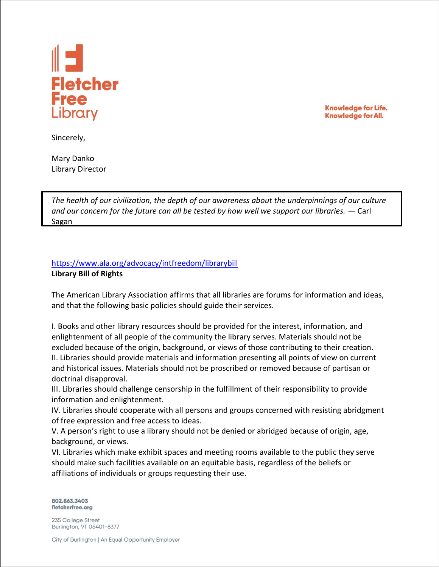

Sincerely,

Mary Danko Library Director

*The health of our civilization, the depth of our awareness about the underpinnings of our culture and our concern for the future can all be tested by how well we support our libraries.* — Carl Sagan

<https://www.ala.org/advocacy/intfreedom/librarybill> **Library Bill of Rights**

The American Library Association affirms that all libraries are forums for information and ideas, and that the following basic policies should guide their services.

I. Books and other library resources should be provided for the interest, information, and enlightenment of all people of the community the library serves. Materials should not be excluded because of the origin, background, or views of those contributing to their creation. II. Libraries should provide materials and information presenting all points of view on current and historical issues. Materials should not be proscribed or removed because of partisan or doctrinal disapproval.

III. Libraries should challenge censorship in the fulfillment of their responsibility to provide information and enlightenment.

IV. Libraries should cooperate with all persons and groups concerned with resisting abridgment of free expression and free access to ideas.

V. A person's right to use a library should not be denied or abridged because of origin, age, background, or views.

VI. Libraries which make exhibit spaces and meeting rooms available to the public they serve should make such facilities available on an equitable basis, regardless of the beliefs or affiliations of individuals or groups requesting their use.

802.863.3403 fletcherfree.org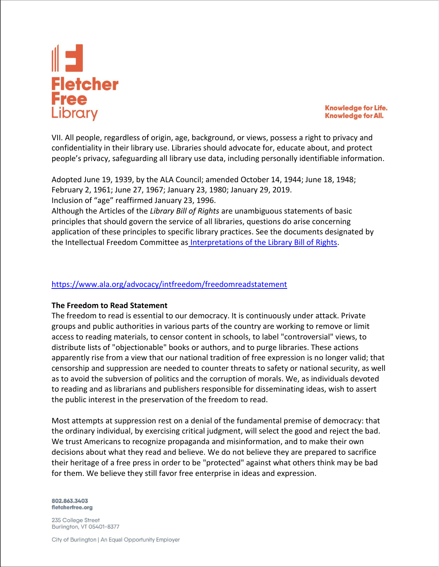

VII. All people, regardless of origin, age, background, or views, possess a right to privacy and confidentiality in their library use. Libraries should advocate for, educate about, and protect people's privacy, safeguarding all library use data, including personally identifiable information.

Adopted June 19, 1939, by the ALA Council; amended October 14, 1944; June 18, 1948; February 2, 1961; June 27, 1967; January 23, 1980; January 29, 2019. Inclusion of "age" reaffirmed January 23, 1996.

Although the Articles of the *Library Bill of Rights* are unambiguous statements of basic principles that should govern the service of all libraries, questions do arise concerning application of these principles to specific library practices. See the documents designated by the Intellectual Freedom Committee as [Interpretations of the Library Bill of Rights.](http://www.ala.org/advocacy/intfreedom/librarybill/interpretations)

# <https://www.ala.org/advocacy/intfreedom/freedomreadstatement>

# **The Freedom to Read Statement**

The freedom to read is essential to our democracy. It is continuously under attack. Private groups and public authorities in various parts of the country are working to remove or limit access to reading materials, to censor content in schools, to label "controversial" views, to distribute lists of "objectionable" books or authors, and to purge libraries. These actions apparently rise from a view that our national tradition of free expression is no longer valid; that censorship and suppression are needed to counter threats to safety or national security, as well as to avoid the subversion of politics and the corruption of morals. We, as individuals devoted to reading and as librarians and publishers responsible for disseminating ideas, wish to assert the public interest in the preservation of the freedom to read.

Most attempts at suppression rest on a denial of the fundamental premise of democracy: that the ordinary individual, by exercising critical judgment, will select the good and reject the bad. We trust Americans to recognize propaganda and misinformation, and to make their own decisions about what they read and believe. We do not believe they are prepared to sacrifice their heritage of a free press in order to be "protected" against what others think may be bad for them. We believe they still favor free enterprise in ideas and expression.

802.863.3403 fletcherfree.org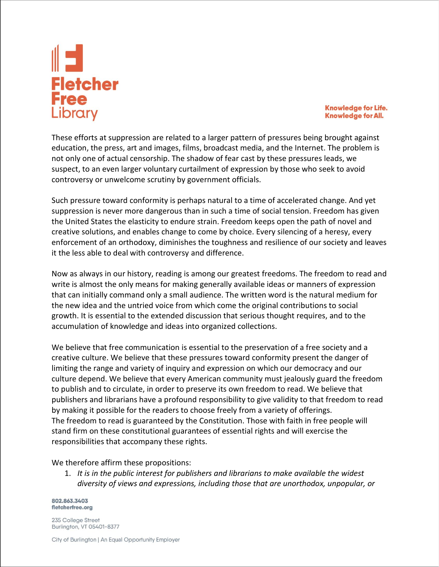

These efforts at suppression are related to a larger pattern of pressures being brought against education, the press, art and images, films, broadcast media, and the Internet. The problem is not only one of actual censorship. The shadow of fear cast by these pressures leads, we suspect, to an even larger voluntary curtailment of expression by those who seek to avoid controversy or unwelcome scrutiny by government officials.

Such pressure toward conformity is perhaps natural to a time of accelerated change. And yet suppression is never more dangerous than in such a time of social tension. Freedom has given the United States the elasticity to endure strain. Freedom keeps open the path of novel and creative solutions, and enables change to come by choice. Every silencing of a heresy, every enforcement of an orthodoxy, diminishes the toughness and resilience of our society and leaves it the less able to deal with controversy and difference.

Now as always in our history, reading is among our greatest freedoms. The freedom to read and write is almost the only means for making generally available ideas or manners of expression that can initially command only a small audience. The written word is the natural medium for the new idea and the untried voice from which come the original contributions to social growth. It is essential to the extended discussion that serious thought requires, and to the accumulation of knowledge and ideas into organized collections.

We believe that free communication is essential to the preservation of a free society and a creative culture. We believe that these pressures toward conformity present the danger of limiting the range and variety of inquiry and expression on which our democracy and our culture depend. We believe that every American community must jealously guard the freedom to publish and to circulate, in order to preserve its own freedom to read. We believe that publishers and librarians have a profound responsibility to give validity to that freedom to read by making it possible for the readers to choose freely from a variety of offerings. The freedom to read is guaranteed by the Constitution. Those with faith in free people will stand firm on these constitutional guarantees of essential rights and will exercise the responsibilities that accompany these rights.

We therefore affirm these propositions:

1. *It is in the public interest for publishers and librarians to make available the widest diversity of views and expressions, including those that are unorthodox, unpopular, or* 

802.863.3403 fletcherfree.org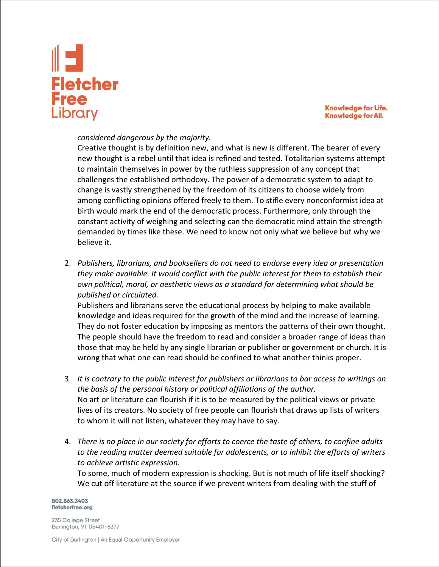

#### *considered dangerous by the majority.*

Creative thought is by definition new, and what is new is different. The bearer of every new thought is a rebel until that idea is refined and tested. Totalitarian systems attempt to maintain themselves in power by the ruthless suppression of any concept that challenges the established orthodoxy. The power of a democratic system to adapt to change is vastly strengthened by the freedom of its citizens to choose widely from among conflicting opinions offered freely to them. To stifle every nonconformist idea at birth would mark the end of the democratic process. Furthermore, only through the constant activity of weighing and selecting can the democratic mind attain the strength demanded by times like these. We need to know not only what we believe but why we believe it.

2. *Publishers, librarians, and booksellers do not need to endorse every idea or presentation they make available. It would conflict with the public interest for them to establish their own political, moral, or aesthetic views as a standard for determining what should be published or circulated.*

Publishers and librarians serve the educational process by helping to make available knowledge and ideas required for the growth of the mind and the increase of learning. They do not foster education by imposing as mentors the patterns of their own thought. The people should have the freedom to read and consider a broader range of ideas than those that may be held by any single librarian or publisher or government or church. It is wrong that what one can read should be confined to what another thinks proper.

- 3. *It is contrary to the public interest for publishers or librarians to bar access to writings on the basis of the personal history or political affiliations of the author.* No art or literature can flourish if it is to be measured by the political views or private lives of its creators. No society of free people can flourish that draws up lists of writers to whom it will not listen, whatever they may have to say.
- 4. *There is no place in our society for efforts to coerce the taste of others, to confine adults to the reading matter deemed suitable for adolescents, or to inhibit the efforts of writers to achieve artistic expression.*

To some, much of modern expression is shocking. But is not much of life itself shocking? We cut off literature at the source if we prevent writers from dealing with the stuff of

#### 802.863.3403 fletcherfree.org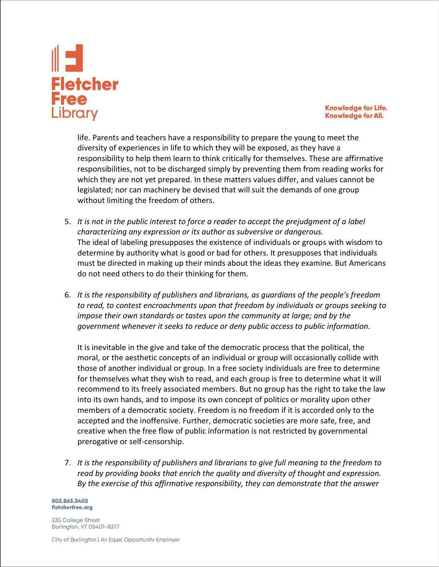

life. Parents and teachers have a responsibility to prepare the young to meet the diversity of experiences in life to which they will be exposed, as they have a responsibility to help them learn to think critically for themselves. These are affirmative responsibilities, not to be discharged simply by preventing them from reading works for which they are not yet prepared. In these matters values differ, and values cannot be legislated; nor can machinery be devised that will suit the demands of one group without limiting the freedom of others.

- 5. *It is not in the public interest to force a reader to accept the prejudgment of a label characterizing any expression or its author as subversive or dangerous.* The ideal of labeling presupposes the existence of individuals or groups with wisdom to determine by authority what is good or bad for others. It presupposes that individuals must be directed in making up their minds about the ideas they examine. But Americans do not need others to do their thinking for them.
- 6. *It is the responsibility of publishers and librarians, as guardians of the people's freedom to read, to contest encroachments upon that freedom by individuals or groups seeking to impose their own standards or tastes upon the community at large; and by the government whenever it seeks to reduce or deny public access to public information.*

It is inevitable in the give and take of the democratic process that the political, the moral, or the aesthetic concepts of an individual or group will occasionally collide with those of another individual or group. In a free society individuals are free to determine for themselves what they wish to read, and each group is free to determine what it will recommend to its freely associated members. But no group has the right to take the law into its own hands, and to impose its own concept of politics or morality upon other members of a democratic society. Freedom is no freedom if it is accorded only to the accepted and the inoffensive. Further, democratic societies are more safe, free, and creative when the free flow of public information is not restricted by governmental prerogative or self-censorship.

7. *It is the responsibility of publishers and librarians to give full meaning to the freedom to read by providing books that enrich the quality and diversity of thought and expression. By the exercise of this affirmative responsibility, they can demonstrate that the answer* 

802.863.3403 fletcherfree.org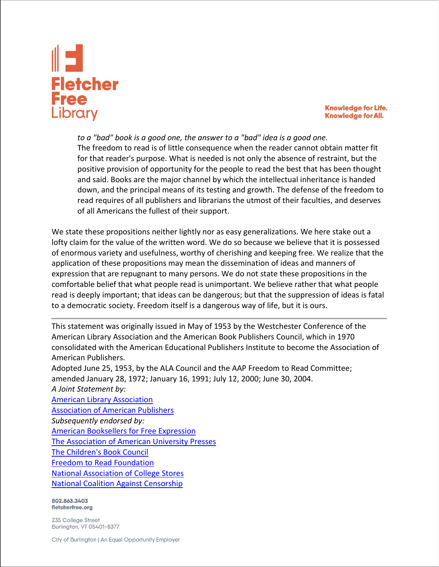

*to a "bad" book is a good one, the answer to a "bad" idea is a good one.* The freedom to read is of little consequence when the reader cannot obtain matter fit for that reader's purpose. What is needed is not only the absence of restraint, but the positive provision of opportunity for the people to read the best that has been thought and said. Books are the major channel by which the intellectual inheritance is handed down, and the principal means of its testing and growth. The defense of the freedom to read requires of all publishers and librarians the utmost of their faculties, and deserves of all Americans the fullest of their support.

We state these propositions neither lightly nor as easy generalizations. We here stake out a lofty claim for the value of the written word. We do so because we believe that it is possessed of enormous variety and usefulness, worthy of cherishing and keeping free. We realize that the application of these propositions may mean the dissemination of ideas and manners of expression that are repugnant to many persons. We do not state these propositions in the comfortable belief that what people read is unimportant. We believe rather that what people read is deeply important; that ideas can be dangerous; but that the suppression of ideas is fatal to a democratic society. Freedom itself is a dangerous way of life, but it is ours.

This statement was originally issued in May of 1953 by the Westchester Conference of the American Library Association and the American Book Publishers Council, which in 1970 consolidated with the American Educational Publishers Institute to become the Association of American Publishers.

Adopted June 25, 1953, by the ALA Council and the AAP Freedom to Read Committee; amended January 28, 1972; January 16, 1991; July 12, 2000; June 30, 2004.

*A Joint Statement by:* [American Library Association](https://www.ala.org/) [Association of American Publishers](http://www.publishers.org/) *Subsequently endorsed by:* [American Booksellers for Free Expression](http://www.bookweb.org/abfe) [The Association of American University Presses](http://www.aaupnet.org/) [The Children's Book Council](http://www.cbcbooks.org/) [Freedom to Read Foundation](http://www.ftrf.org/) [National Association of College Stores](http://www.nacs.org/) [National Coalition Against Censorship](http://www.ncac.org/)

802.863.3403 fletcherfree.org

235 College Street Burlington, VT 05401-8377

City of Burlington | An Equal Opportunity Employer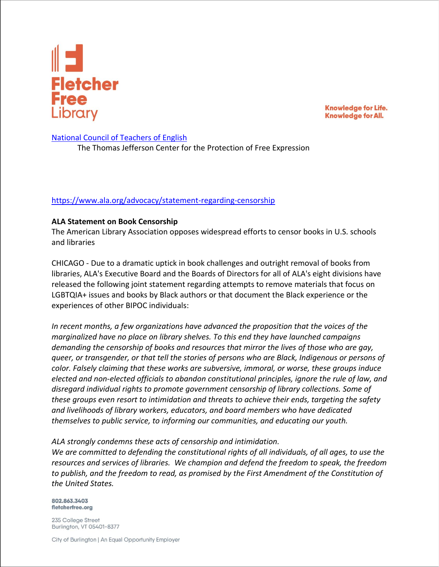

# [National Council of Teachers of English](http://www.ncte.org/)

The Thomas Jefferson Center for the Protection of Free Expression

<https://www.ala.org/advocacy/statement-regarding-censorship>

# **ALA Statement on Book Censorship**

The American Library Association opposes widespread efforts to censor books in U.S. schools and libraries

CHICAGO - Due to a dramatic uptick in book challenges and outright removal of books from libraries, ALA's Executive Board and the Boards of Directors for all of ALA's eight divisions have released the following joint statement regarding attempts to remove materials that focus on LGBTQIA+ issues and books by Black authors or that document the Black experience or the experiences of other BIPOC individuals:

*In recent months, a few organizations have advanced the proposition that the voices of the marginalized have no place on library shelves. To this end they have launched campaigns demanding the censorship of books and resources that mirror the lives of those who are gay, queer, or transgender, or that tell the stories of persons who are Black, Indigenous or persons of color. Falsely claiming that these works are subversive, immoral, or worse, these groups induce elected and non-elected officials to abandon constitutional principles, ignore the rule of law, and disregard individual rights to promote government censorship of library collections. Some of these groups even resort to intimidation and threats to achieve their ends, targeting the safety and livelihoods of library workers, educators, and board members who have dedicated themselves to public service, to informing our communities, and educating our youth.*

*ALA strongly condemns these acts of censorship and intimidation.* 

*We are committed to defending the constitutional rights of all individuals, of all ages, to use the resources and services of libraries. We champion and defend the freedom to speak, the freedom to publish, and the freedom to read, as promised by the First Amendment of the Constitution of the United States.*

802.863.3403 fletcherfree.org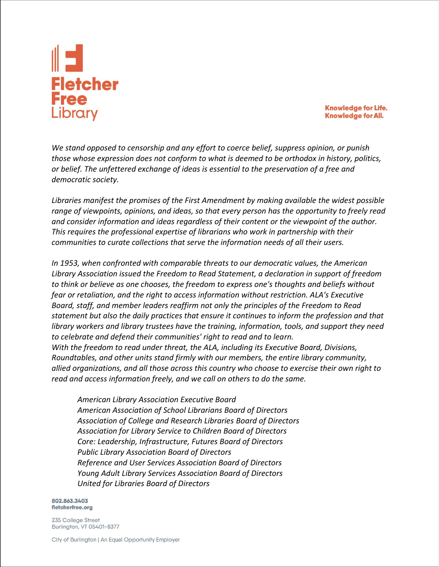

*We stand opposed to censorship and any effort to coerce belief, suppress opinion, or punish those whose expression does not conform to what is deemed to be orthodox in history, politics, or belief. The unfettered exchange of ideas is essential to the preservation of a free and democratic society.*

*Libraries manifest the promises of the First Amendment by making available the widest possible range of viewpoints, opinions, and ideas, so that every person has the opportunity to freely read and consider information and ideas regardless of their content or the viewpoint of the author. This requires the professional expertise of librarians who work in partnership with their communities to curate collections that serve the information needs of all their users.*

*In 1953, when confronted with comparable threats to our democratic values, the American Library Association issued the Freedom to Read Statement, a declaration in support of freedom to think or believe as one chooses, the freedom to express one's thoughts and beliefs without fear or retaliation, and the right to access information without restriction. ALA's Executive Board, staff, and member leaders reaffirm not only the principles of the Freedom to Read statement but also the daily practices that ensure it continues to inform the profession and that library workers and library trustees have the training, information, tools, and support they need to celebrate and defend their communities' right to read and to learn. With the freedom to read under threat, the ALA, including its Executive Board, Divisions, Roundtables, and other units stand firmly with our members, the entire library community, allied organizations, and all those across this country who choose to exercise their own right to read and access information freely, and we call on others to do the same.*

*American Library Association Executive Board American Association of School Librarians Board of Directors Association of College and Research Libraries Board of Directors Association for Library Service to Children Board of Directors Core: Leadership, Infrastructure, Futures Board of Directors Public Library Association Board of Directors Reference and User Services Association Board of Directors Young Adult Library Services Association Board of Directors United for Libraries Board of Directors*

802.863.3403 fletcherfree.org